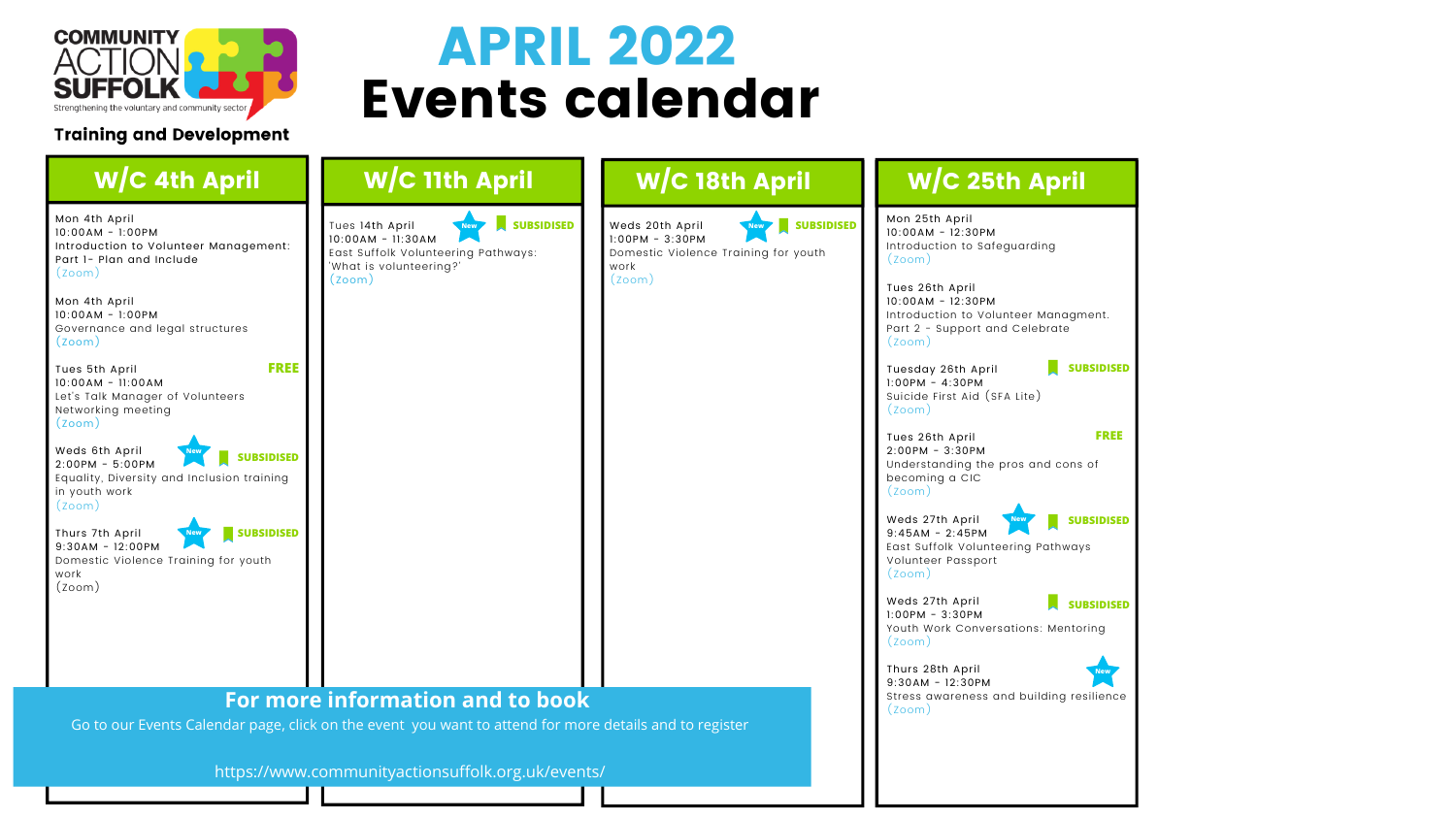

### **Training and Development**

email:

# Events calendar APRIL 2022

| <b>SUBSIDISED</b><br>Weds 20th April<br><b>New</b>                                                                                         |                                                   |
|--------------------------------------------------------------------------------------------------------------------------------------------|---------------------------------------------------|
| $1:00PM - 3:30PM$<br>Domestic Violence Training for youth<br>work<br>(z <sub>oom</sub> )                                                   |                                                   |
|                                                                                                                                            |                                                   |
|                                                                                                                                            |                                                   |
| For more information and to book<br>Go to our Events Calendar page, click on the event you want to attend for more details and to register |                                                   |
|                                                                                                                                            | https://www.communityactionsuffolk.org.uk/events/ |

#### $W/C$  25th April **FREE** 5th April 4M - 12:30PM Iuction to Safeguarding m). **NEW** 26th April AM - 12:30PM Iuction to Volunteer Managment. **- Support and Celebrate** m) **SUBSIDISED** lay 26th April M - 4:30PM de First Aid (SFA Lite) m) **FREE** 26th April 2:00PM - 3:30PM rstanding the pros and cons of ming a CIC  $(m)$ 27th April  $\mathbb{R}^n$ **SUBSIDISED New**9:45AM - 2:45PM Suffolk Volunteering Pathways iteer Passport  $\mathsf{m}$ ) **SUBSIDISED** 27th April  $M - 3:30PM$ Work Conversations: Mentoring  $\mathsf{m}$ )  $T_{\rm tot}$  see our full updated of  $\Delta t$ 28th April **New** visit: 9:30AM - 12:30PM Stress awareness and building resilience<br>(Zeem)  $\left( m\right)$